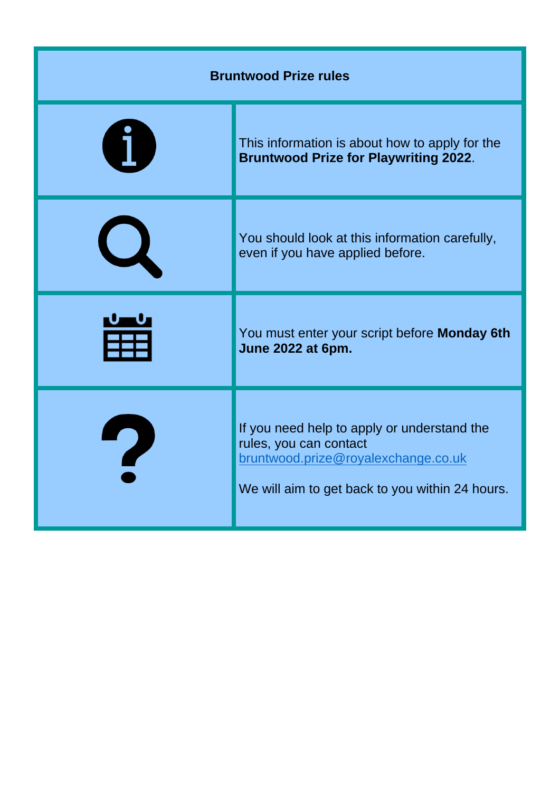| <b>Bruntwood Prize rules</b> |                                                                                                                                                                 |
|------------------------------|-----------------------------------------------------------------------------------------------------------------------------------------------------------------|
|                              | This information is about how to apply for the<br><b>Bruntwood Prize for Playwriting 2022.</b>                                                                  |
|                              | You should look at this information carefully,<br>even if you have applied before.                                                                              |
|                              | You must enter your script before Monday 6th<br>June 2022 at 6pm.                                                                                               |
|                              | If you need help to apply or understand the<br>rules, you can contact<br>bruntwood.prize@royalexchange.co.uk<br>We will aim to get back to you within 24 hours. |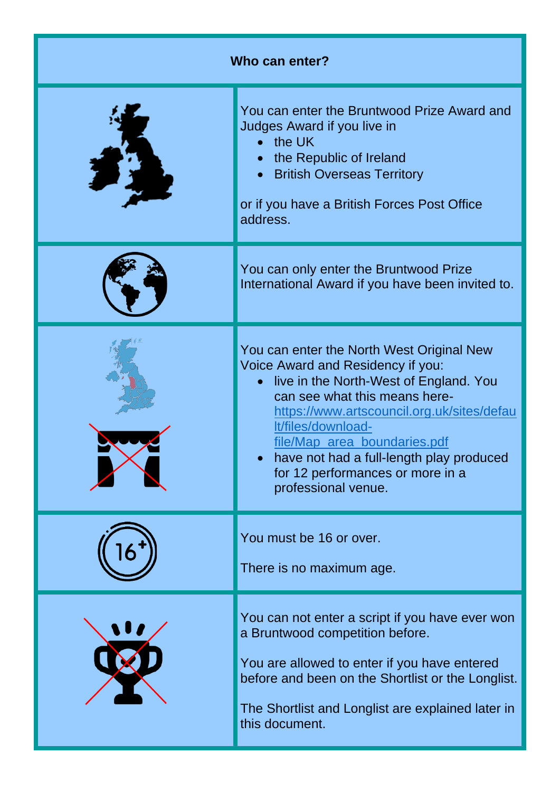| Who can enter? |                                                                                                                                                                                                                                                                                                                                                                                   |
|----------------|-----------------------------------------------------------------------------------------------------------------------------------------------------------------------------------------------------------------------------------------------------------------------------------------------------------------------------------------------------------------------------------|
|                | You can enter the Bruntwood Prize Award and<br>Judges Award if you live in<br>the UK<br>the Republic of Ireland<br><b>British Overseas Territory</b><br>or if you have a British Forces Post Office<br>address.                                                                                                                                                                   |
|                | You can only enter the Bruntwood Prize<br>International Award if you have been invited to.                                                                                                                                                                                                                                                                                        |
|                | You can enter the North West Original New<br>Voice Award and Residency if you:<br>live in the North-West of England. You<br>$\bullet$<br>can see what this means here-<br>https://www.artscouncil.org.uk/sites/defau<br>It/files/download-<br>file/Map area boundaries.pdf<br>have not had a full-length play produced<br>for 12 performances or more in a<br>professional venue. |
|                | You must be 16 or over.<br>There is no maximum age.                                                                                                                                                                                                                                                                                                                               |
|                | You can not enter a script if you have ever won<br>a Bruntwood competition before.<br>You are allowed to enter if you have entered<br>before and been on the Shortlist or the Longlist.<br>The Shortlist and Longlist are explained later in<br>this document.                                                                                                                    |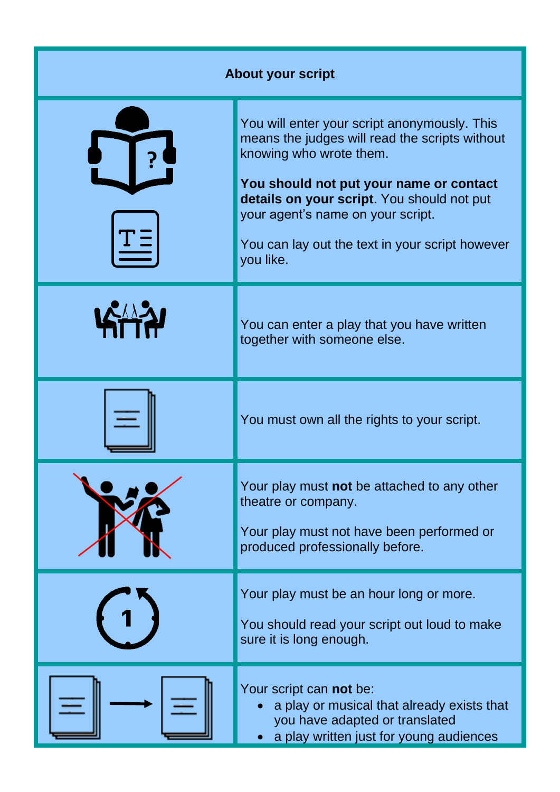| <b>About your script</b> |                                                                                                                                                                                                                                                                                                                         |
|--------------------------|-------------------------------------------------------------------------------------------------------------------------------------------------------------------------------------------------------------------------------------------------------------------------------------------------------------------------|
|                          | You will enter your script anonymously. This<br>means the judges will read the scripts without<br>knowing who wrote them.<br>You should not put your name or contact<br>details on your script. You should not put<br>your agent's name on your script.<br>You can lay out the text in your script however<br>you like. |
|                          | You can enter a play that you have written<br>together with someone else.                                                                                                                                                                                                                                               |
|                          | You must own all the rights to your script.                                                                                                                                                                                                                                                                             |
|                          | Your play must not be attached to any other<br>theatre or company.<br>Your play must not have been performed or<br>produced professionally before.                                                                                                                                                                      |
|                          | Your play must be an hour long or more.<br>You should read your script out loud to make<br>sure it is long enough.                                                                                                                                                                                                      |
|                          | Your script can not be:<br>a play or musical that already exists that<br>you have adapted or translated<br>a play written just for young audiences                                                                                                                                                                      |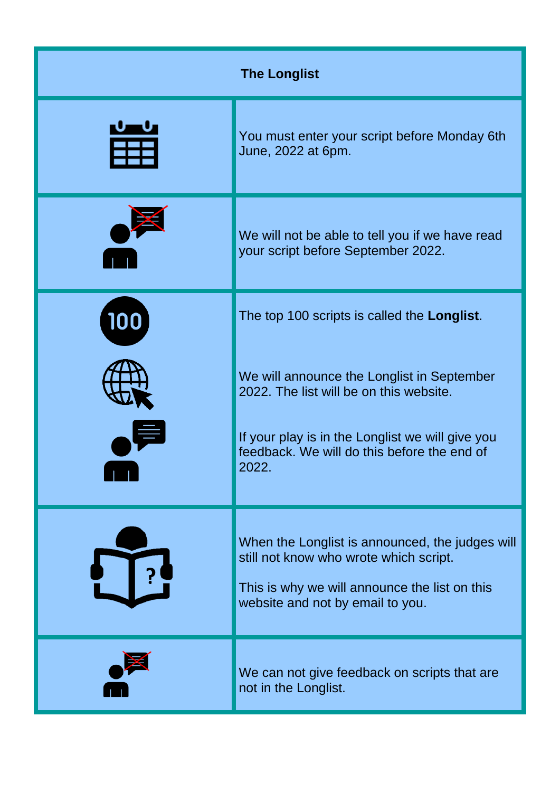| <b>The Longlist</b> |                                                                                                                                                                                                   |
|---------------------|---------------------------------------------------------------------------------------------------------------------------------------------------------------------------------------------------|
|                     | You must enter your script before Monday 6th<br>June, 2022 at 6pm.                                                                                                                                |
|                     | We will not be able to tell you if we have read<br>your script before September 2022.                                                                                                             |
| 100                 | The top 100 scripts is called the Longlist.                                                                                                                                                       |
|                     | We will announce the Longlist in September<br>2022. The list will be on this website.<br>If your play is in the Longlist we will give you<br>feedback. We will do this before the end of<br>2022. |
|                     |                                                                                                                                                                                                   |
|                     | When the Longlist is announced, the judges will<br>still not know who wrote which script.<br>This is why we will announce the list on this<br>website and not by email to you.                    |
|                     | We can not give feedback on scripts that are<br>not in the Longlist.                                                                                                                              |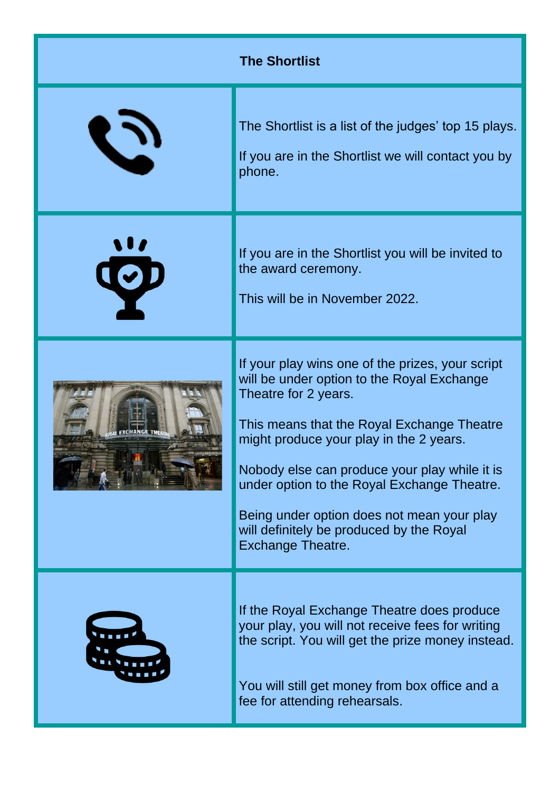| <b>The Shortlist</b> |                                                                                                                                                                                                                                                                                                                                                                                                                                       |
|----------------------|---------------------------------------------------------------------------------------------------------------------------------------------------------------------------------------------------------------------------------------------------------------------------------------------------------------------------------------------------------------------------------------------------------------------------------------|
| D                    | The Shortlist is a list of the judges' top 15 plays.<br>If you are in the Shortlist we will contact you by<br>phone.                                                                                                                                                                                                                                                                                                                  |
| $\ddot{\mathbf{Q}}$  | If you are in the Shortlist you will be invited to<br>the award ceremony.<br>This will be in November 2022.                                                                                                                                                                                                                                                                                                                           |
|                      | If your play wins one of the prizes, your script<br>will be under option to the Royal Exchange<br>Theatre for 2 years.<br>This means that the Royal Exchange Theatre<br>might produce your play in the 2 years.<br>Nobody else can produce your play while it is<br>under option to the Royal Exchange Theatre.<br>Being under option does not mean your play<br>will definitely be produced by the Royal<br><b>Exchange Theatre.</b> |
|                      | If the Royal Exchange Theatre does produce<br>your play, you will not receive fees for writing<br>the script. You will get the prize money instead.<br>You will still get money from box office and a<br>fee for attending rehearsals.                                                                                                                                                                                                |